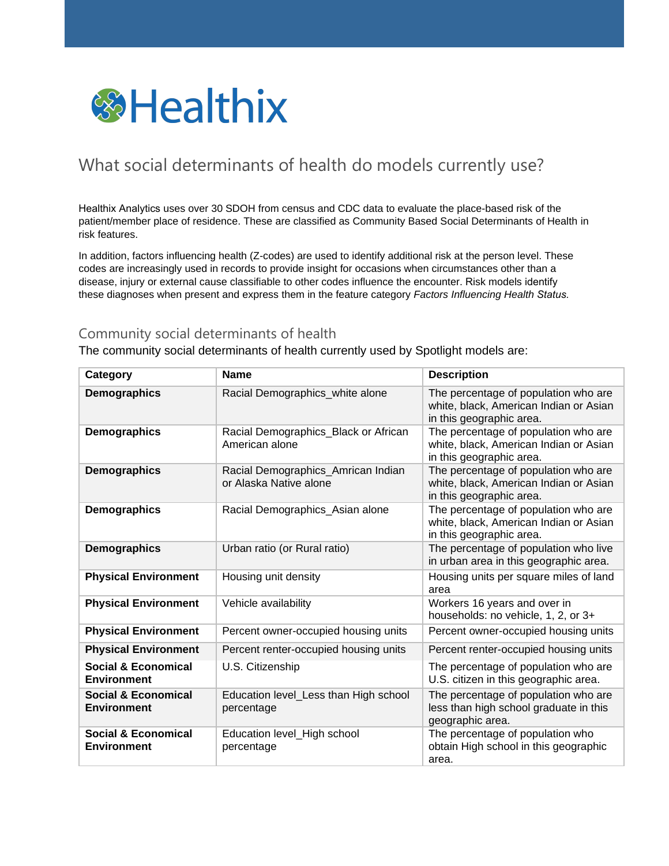

## What social determinants of health do models currently use?

Healthix Analytics uses over 30 SDOH from census and CDC data to evaluate the place-based risk of the patient/member place of residence. These are classified as Community Based Social Determinants of Health in risk features.

In addition, factors influencing health (Z-codes) are used to identify additional risk at the person level. These codes are increasingly used in records to provide insight for occasions when circumstances other than a disease, injury or external cause classifiable to other codes influence the encounter. Risk models identify these diagnoses when present and express them in the feature category *Factors Influencing Health Status.*

## Community social determinants of health

The community social determinants of health currently used by Spotlight models are:

| <b>Category</b>                                      | <b>Name</b>                                                  | <b>Description</b>                                                                                         |
|------------------------------------------------------|--------------------------------------------------------------|------------------------------------------------------------------------------------------------------------|
| Demographics                                         | Racial Demographics_white alone                              | The percentage of population who are<br>white, black, American Indian or Asian<br>in this geographic area. |
| Demographics                                         | Racial Demographics_Black or African<br>American alone       | The percentage of population who are<br>white, black, American Indian or Asian<br>in this geographic area. |
| Demographics                                         | Racial Demographics_Amrican Indian<br>or Alaska Native alone | The percentage of population who are<br>white, black, American Indian or Asian<br>in this geographic area. |
| Demographics                                         | Racial Demographics_Asian alone                              | The percentage of population who are<br>white, black, American Indian or Asian<br>in this geographic area. |
| Demographics                                         | Urban ratio (or Rural ratio)                                 | The percentage of population who live<br>in urban area in this geographic area.                            |
| <b>Physical Environment</b>                          | Housing unit density                                         | Housing units per square miles of land<br>area                                                             |
| <b>Physical Environment</b>                          | Vehicle availability                                         | Workers 16 years and over in<br>households: no vehicle, 1, 2, or 3+                                        |
| <b>Physical Environment</b>                          | Percent owner-occupied housing units                         | Percent owner-occupied housing units                                                                       |
| <b>Physical Environment</b>                          | Percent renter-occupied housing units                        | Percent renter-occupied housing units                                                                      |
| <b>Social &amp; Economical</b><br><b>Environment</b> | U.S. Citizenship                                             | The percentage of population who are<br>U.S. citizen in this geographic area.                              |
| <b>Social &amp; Economical</b><br><b>Environment</b> | Education level_Less than High school<br>percentage          | The percentage of population who are<br>less than high school graduate in this<br>geographic area.         |
| <b>Social &amp; Economical</b><br><b>Environment</b> | Education level_High school<br>percentage                    | The percentage of population who<br>obtain High school in this geographic<br>area.                         |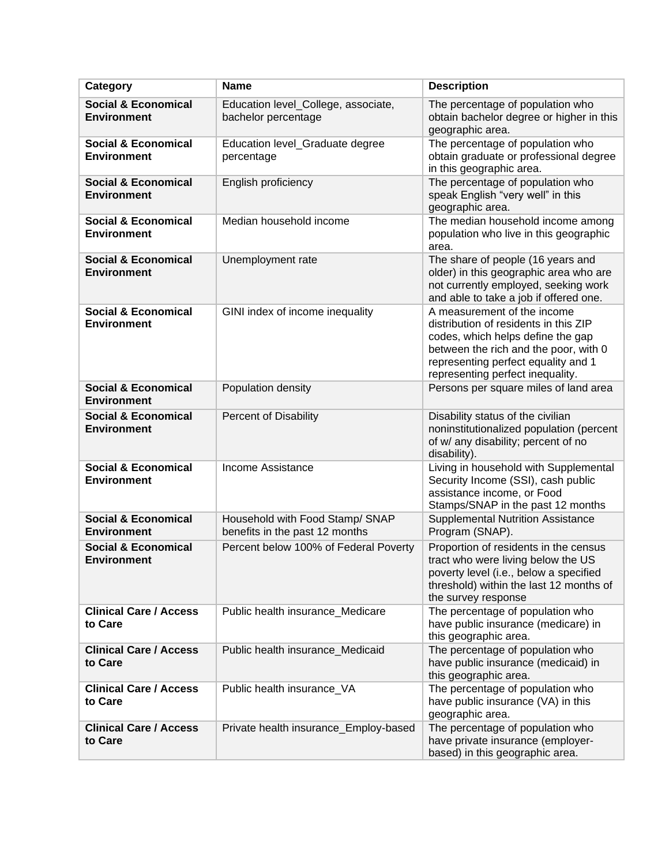| <b>Category</b>                                      | <b>Name</b>                                                       | <b>Description</b>                                                                                                                                                                                                            |
|------------------------------------------------------|-------------------------------------------------------------------|-------------------------------------------------------------------------------------------------------------------------------------------------------------------------------------------------------------------------------|
| <b>Social &amp; Economical</b><br><b>Environment</b> | Education level_College, associate,<br>bachelor percentage        | The percentage of population who<br>obtain bachelor degree or higher in this<br>geographic area.                                                                                                                              |
| <b>Social &amp; Economical</b><br><b>Environment</b> | Education level_Graduate degree<br>percentage                     | The percentage of population who<br>obtain graduate or professional degree<br>in this geographic area.                                                                                                                        |
| <b>Social &amp; Economical</b><br><b>Environment</b> | English proficiency                                               | The percentage of population who<br>speak English "very well" in this<br>geographic area.                                                                                                                                     |
| <b>Social &amp; Economical</b><br><b>Environment</b> | Median household income                                           | The median household income among<br>population who live in this geographic<br>area.                                                                                                                                          |
| <b>Social &amp; Economical</b><br><b>Environment</b> | Unemployment rate                                                 | The share of people (16 years and<br>older) in this geographic area who are<br>not currently employed, seeking work<br>and able to take a job if offered one.                                                                 |
| <b>Social &amp; Economical</b><br><b>Environment</b> | GINI index of income inequality                                   | A measurement of the income<br>distribution of residents in this ZIP<br>codes, which helps define the gap<br>between the rich and the poor, with 0<br>representing perfect equality and 1<br>representing perfect inequality. |
| <b>Social &amp; Economical</b><br><b>Environment</b> | Population density                                                | Persons per square miles of land area                                                                                                                                                                                         |
| <b>Social &amp; Economical</b><br><b>Environment</b> | <b>Percent of Disability</b>                                      | Disability status of the civilian<br>noninstitutionalized population (percent<br>of w/ any disability; percent of no<br>disability).                                                                                          |
| <b>Social &amp; Economical</b><br><b>Environment</b> | Income Assistance                                                 | Living in household with Supplemental<br>Security Income (SSI), cash public<br>assistance income, or Food<br>Stamps/SNAP in the past 12 months                                                                                |
| <b>Social &amp; Economical</b><br><b>Environment</b> | Household with Food Stamp/ SNAP<br>benefits in the past 12 months | <b>Supplemental Nutrition Assistance</b><br>Program (SNAP).                                                                                                                                                                   |
| <b>Social &amp; Economical</b><br><b>Environment</b> | Percent below 100% of Federal Poverty                             | Proportion of residents in the census<br>tract who were living below the US<br>poverty level (i.e., below a specified<br>threshold) within the last 12 months of<br>the survey response                                       |
| <b>Clinical Care / Access</b><br>to Care             | Public health insurance_Medicare                                  | The percentage of population who<br>have public insurance (medicare) in<br>this geographic area.                                                                                                                              |
| <b>Clinical Care / Access</b><br>to Care             | Public health insurance_Medicaid                                  | The percentage of population who<br>have public insurance (medicaid) in<br>this geographic area.                                                                                                                              |
| <b>Clinical Care / Access</b><br>to Care             | Public health insurance VA                                        | The percentage of population who<br>have public insurance (VA) in this<br>geographic area.                                                                                                                                    |
| <b>Clinical Care / Access</b><br>to Care             | Private health insurance_Employ-based                             | The percentage of population who<br>have private insurance (employer-<br>based) in this geographic area.                                                                                                                      |